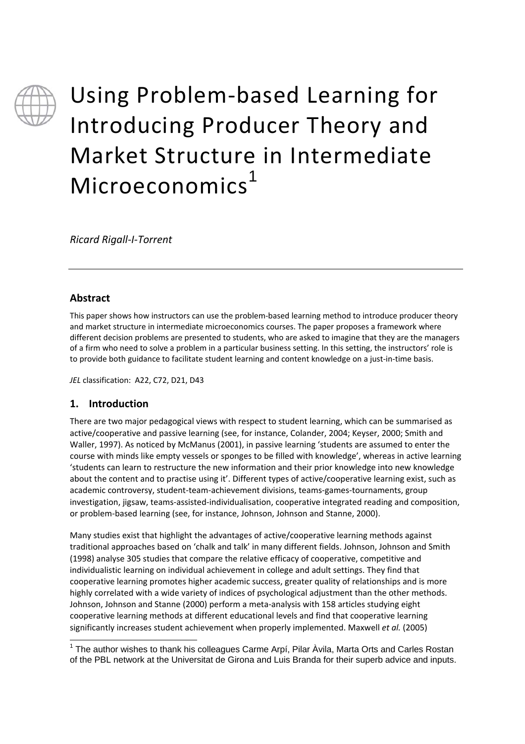

# Using Problem‐based Learning for Introducing Producer Theory and Market Structure in Intermediate Microeconomics<sup>1</sup>

*Ricard Rigall‐I‐Torrent*

## **Abstract**

This paper shows how instructors can use the problem‐based learning method to introduce producer theory and market structure in intermediate microeconomics courses. The paper proposes a framework where different decision problems are presented to students, who are asked to imagine that they are the managers of a firm who need to solve a problem in a particular business setting. In this setting, the instructors' role is to provide both guidance to facilitate student learning and content knowledge on a just-in-time basis.

*JEL* classification: A22, C72, D21, D43

## **1. Introduction**

There are two major pedagogical views with respect to student learning, which can be summarised as active/cooperative and passive learning (see, for instance, Colander, 2004; Keyser, 2000; Smith and Waller, 1997). As noticed by McManus (2001), in passive learning 'students are assumed to enter the course with minds like empty vessels or sponges to be filled with knowledge', whereas in active learning 'students can learn to restructure the new information and their prior knowledge into new knowledge about the content and to practise using it'. Different types of active/cooperative learning exist, such as academic controversy, student‐team‐achievement divisions, teams‐games‐tournaments, group investigation, jigsaw, teams‐assisted‐individualisation, cooperative integrated reading and composition, or problem‐based learning (see, for instance, Johnson, Johnson and Stanne, 2000).

Many studies exist that highlight the advantages of active/cooperative learning methods against traditional approaches based on 'chalk and talk' in many different fields. Johnson, Johnson and Smith (1998) analyse 305 studies that compare the relative efficacy of cooperative, competitive and individualistic learning on individual achievement in college and adult settings. They find that cooperative learning promotes higher academic success, greater quality of relationships and is more highly correlated with a wide variety of indices of psychological adjustment than the other methods. Johnson, Johnson and Stanne (2000) perform a meta‐analysis with 158 articles studying eight cooperative learning methods at different educational levels and find that cooperative learning significantly increases student achievement when properly implemented. Maxwell *et al.* (2005)

<sup>————————————————————&</sup>lt;br><sup>1</sup> The author wishes to thank his colleagues Carme Arpí, Pilar Àvila, Marta Orts and Carles Rostan of the PBL network at the Universitat de Girona and Luis Branda for their superb advice and inputs.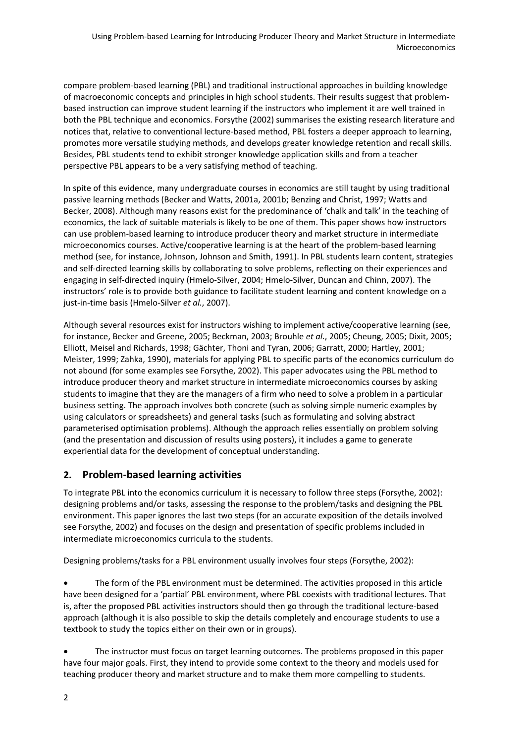compare problem‐based learning (PBL) and traditional instructional approaches in building knowledge of macroeconomic concepts and principles in high school students. Their results suggest that problem‐ based instruction can improve student learning if the instructors who implement it are well trained in both the PBL technique and economics. Forsythe (2002) summarises the existing research literature and notices that, relative to conventional lecture‐based method, PBL fosters a deeper approach to learning, promotes more versatile studying methods, and develops greater knowledge retention and recall skills. Besides, PBL students tend to exhibit stronger knowledge application skills and from a teacher perspective PBL appears to be a very satisfying method of teaching.

In spite of this evidence, many undergraduate courses in economics are still taught by using traditional passive learning methods (Becker and Watts, 2001a, 2001b; Benzing and Christ, 1997; Watts and Becker, 2008). Although many reasons exist for the predominance of 'chalk and talk' in the teaching of economics, the lack of suitable materials is likely to be one of them. This paper shows how instructors can use problem‐based learning to introduce producer theory and market structure in intermediate microeconomics courses. Active/cooperative learning is at the heart of the problem‐based learning method (see, for instance, Johnson, Johnson and Smith, 1991). In PBL students learn content, strategies and self-directed learning skills by collaborating to solve problems, reflecting on their experiences and engaging in self‐directed inquiry (Hmelo‐Silver, 2004; Hmelo‐Silver, Duncan and Chinn, 2007). The instructors' role is to provide both guidance to facilitate student learning and content knowledge on a just‐in‐time basis (Hmelo‐Silver *et al.*, 2007).

Although several resources exist for instructors wishing to implement active/cooperative learning (see, for instance, Becker and Greene, 2005; Beckman, 2003; Brouhle *et al.*, 2005; Cheung, 2005; Dixit, 2005; Elliott, Meisel and Richards, 1998; Gächter, Thoni and Tyran, 2006; Garratt, 2000; Hartley, 2001; Meister, 1999; Zahka, 1990), materials for applying PBL to specific parts of the economics curriculum do not abound (for some examples see Forsythe, 2002). This paper advocates using the PBL method to introduce producer theory and market structure in intermediate microeconomics courses by asking students to imagine that they are the managers of a firm who need to solve a problem in a particular business setting. The approach involves both concrete (such as solving simple numeric examples by using calculators or spreadsheets) and general tasks (such as formulating and solving abstract parameterised optimisation problems). Although the approach relies essentially on problem solving (and the presentation and discussion of results using posters), it includes a game to generate experiential data for the development of conceptual understanding.

# **2. Problem‐based learning activities**

To integrate PBL into the economics curriculum it is necessary to follow three steps (Forsythe, 2002): designing problems and/or tasks, assessing the response to the problem/tasks and designing the PBL environment. This paper ignores the last two steps (for an accurate exposition of the details involved see Forsythe, 2002) and focuses on the design and presentation of specific problems included in intermediate microeconomics curricula to the students.

Designing problems/tasks for a PBL environment usually involves four steps (Forsythe, 2002):

• The form of the PBL environment must be determined. The activities proposed in this article have been designed for a 'partial' PBL environment, where PBL coexists with traditional lectures. That is, after the proposed PBL activities instructors should then go through the traditional lecture-based approach (although it is also possible to skip the details completely and encourage students to use a textbook to study the topics either on their own or in groups).

The instructor must focus on target learning outcomes. The problems proposed in this paper have four major goals. First, they intend to provide some context to the theory and models used for teaching producer theory and market structure and to make them more compelling to students.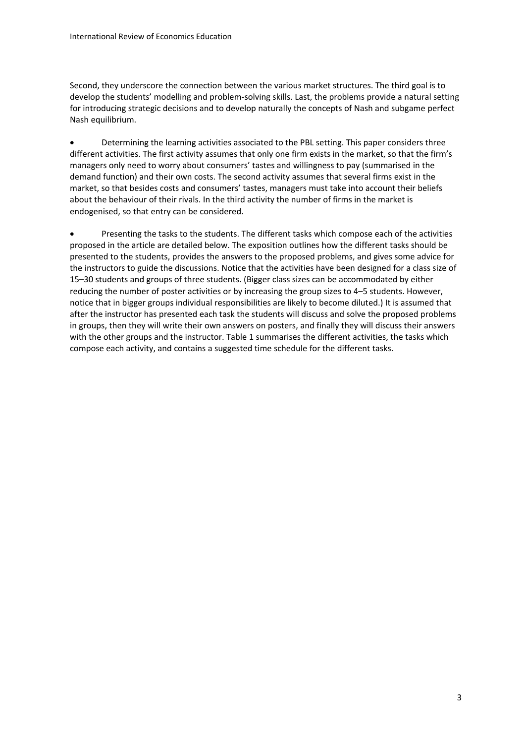Second, they underscore the connection between the various market structures. The third goal is to develop the students' modelling and problem‐solving skills. Last, the problems provide a natural setting for introducing strategic decisions and to develop naturally the concepts of Nash and subgame perfect Nash equilibrium.

• Determining the learning activities associated to the PBL setting. This paper considers three different activities. The first activity assumes that only one firm exists in the market, so that the firm's managers only need to worry about consumers' tastes and willingness to pay (summarised in the demand function) and their own costs. The second activity assumes that several firms exist in the market, so that besides costs and consumers' tastes, managers must take into account their beliefs about the behaviour of their rivals. In the third activity the number of firms in the market is endogenised, so that entry can be considered.

• Presenting the tasks to the students. The different tasks which compose each of the activities proposed in the article are detailed below. The exposition outlines how the different tasks should be presented to the students, provides the answers to the proposed problems, and gives some advice for the instructors to guide the discussions. Notice that the activities have been designed for a class size of 15–30 students and groups of three students. (Bigger class sizes can be accommodated by either reducing the number of poster activities or by increasing the group sizes to 4–5 students. However, notice that in bigger groups individual responsibilities are likely to become diluted.) It is assumed that after the instructor has presented each task the students will discuss and solve the proposed problems in groups, then they will write their own answers on posters, and finally they will discuss their answers with the other groups and the instructor. Table 1 summarises the different activities, the tasks which compose each activity, and contains a suggested time schedule for the different tasks.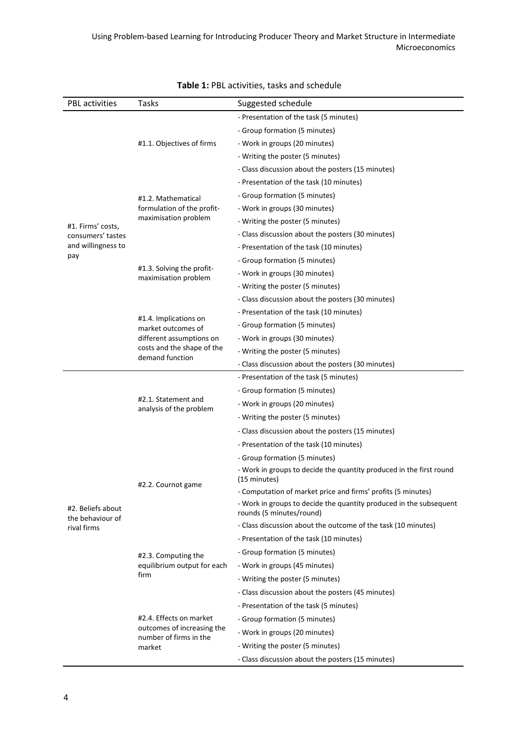| <b>PBL</b> activities                 | <b>Tasks</b>                                         | Suggested schedule                                                                             |  |  |
|---------------------------------------|------------------------------------------------------|------------------------------------------------------------------------------------------------|--|--|
|                                       |                                                      | - Presentation of the task (5 minutes)                                                         |  |  |
|                                       |                                                      | - Group formation (5 minutes)                                                                  |  |  |
|                                       | #1.1. Objectives of firms                            | - Work in groups (20 minutes)                                                                  |  |  |
|                                       |                                                      | - Writing the poster (5 minutes)                                                               |  |  |
|                                       |                                                      | - Class discussion about the posters (15 minutes)                                              |  |  |
|                                       |                                                      | - Presentation of the task (10 minutes)                                                        |  |  |
|                                       | #1.2. Mathematical                                   | - Group formation (5 minutes)                                                                  |  |  |
|                                       | formulation of the profit-                           | - Work in groups (30 minutes)                                                                  |  |  |
| #1. Firms' costs,                     | maximisation problem                                 | - Writing the poster (5 minutes)                                                               |  |  |
| consumers' tastes                     |                                                      | - Class discussion about the posters (30 minutes)                                              |  |  |
| and willingness to                    |                                                      | - Presentation of the task (10 minutes)                                                        |  |  |
| pay                                   |                                                      | - Group formation (5 minutes)                                                                  |  |  |
|                                       | #1.3. Solving the profit-<br>maximisation problem    | - Work in groups (30 minutes)                                                                  |  |  |
|                                       |                                                      | - Writing the poster (5 minutes)                                                               |  |  |
|                                       |                                                      | - Class discussion about the posters (30 minutes)                                              |  |  |
|                                       | #1.4. Implications on                                | - Presentation of the task (10 minutes)                                                        |  |  |
|                                       | market outcomes of                                   | - Group formation (5 minutes)                                                                  |  |  |
|                                       | different assumptions on                             | - Work in groups (30 minutes)                                                                  |  |  |
|                                       | costs and the shape of the<br>demand function        | - Writing the poster (5 minutes)                                                               |  |  |
|                                       |                                                      | - Class discussion about the posters (30 minutes)                                              |  |  |
|                                       |                                                      | - Presentation of the task (5 minutes)                                                         |  |  |
|                                       |                                                      | - Group formation (5 minutes)                                                                  |  |  |
|                                       | #2.1. Statement and<br>analysis of the problem       | - Work in groups (20 minutes)                                                                  |  |  |
|                                       |                                                      | - Writing the poster (5 minutes)                                                               |  |  |
|                                       |                                                      | - Class discussion about the posters (15 minutes)                                              |  |  |
|                                       |                                                      | - Presentation of the task (10 minutes)                                                        |  |  |
|                                       |                                                      | - Group formation (5 minutes)                                                                  |  |  |
|                                       |                                                      | - Work in groups to decide the quantity produced in the first round<br>(15 minutes)            |  |  |
|                                       | #2.2. Cournot game                                   | - Computation of market price and firms' profits (5 minutes)                                   |  |  |
| #2. Beliefs about<br>the behaviour of |                                                      | - Work in groups to decide the quantity produced in the subsequent<br>rounds (5 minutes/round) |  |  |
| rival firms                           |                                                      | - Class discussion about the outcome of the task (10 minutes)                                  |  |  |
|                                       |                                                      | - Presentation of the task (10 minutes)                                                        |  |  |
|                                       | #2.3. Computing the                                  | - Group formation (5 minutes)                                                                  |  |  |
|                                       | equilibrium output for each                          | - Work in groups (45 minutes)                                                                  |  |  |
|                                       | firm                                                 | - Writing the poster (5 minutes)                                                               |  |  |
|                                       |                                                      | - Class discussion about the posters (45 minutes)                                              |  |  |
|                                       |                                                      | - Presentation of the task (5 minutes)                                                         |  |  |
|                                       | #2.4. Effects on market                              | - Group formation (5 minutes)                                                                  |  |  |
|                                       | outcomes of increasing the<br>number of firms in the | - Work in groups (20 minutes)                                                                  |  |  |
|                                       | market                                               | - Writing the poster (5 minutes)                                                               |  |  |
|                                       |                                                      | - Class discussion about the posters (15 minutes)                                              |  |  |

#### **Table 1:** PBL activities, tasks and schedule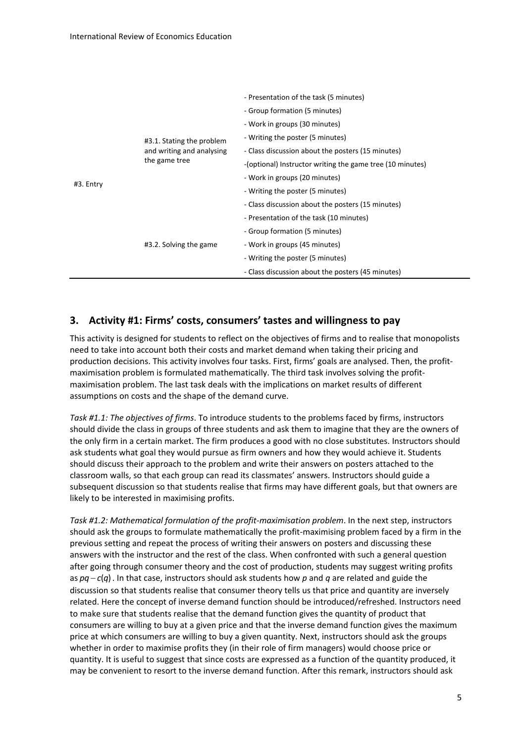|           |                           | - Presentation of the task (5 minutes)                    |
|-----------|---------------------------|-----------------------------------------------------------|
|           |                           | - Group formation (5 minutes)                             |
|           |                           | - Work in groups (30 minutes)                             |
|           | #3.1. Stating the problem | - Writing the poster (5 minutes)                          |
|           | and writing and analysing | - Class discussion about the posters (15 minutes)         |
|           | the game tree             | -(optional) Instructor writing the game tree (10 minutes) |
|           |                           | - Work in groups (20 minutes)                             |
| #3. Entry |                           | - Writing the poster (5 minutes)                          |
|           |                           | - Class discussion about the posters (15 minutes)         |
|           |                           | - Presentation of the task (10 minutes)                   |
|           |                           | - Group formation (5 minutes)                             |
|           | #3.2. Solving the game    | - Work in groups (45 minutes)                             |
|           |                           | - Writing the poster (5 minutes)                          |
|           |                           | - Class discussion about the posters (45 minutes)         |

#### **3. Activity #1: Firms' costs, consumers' tastes and willingness to pay**

This activity is designed for students to reflect on the objectives of firms and to realise that monopolists need to take into account both their costs and market demand when taking their pricing and production decisions. This activity involves four tasks. First, firms' goals are analysed. Then, the profit‐ maximisation problem is formulated mathematically. The third task involves solving the profit‐ maximisation problem. The last task deals with the implications on market results of different assumptions on costs and the shape of the demand curve.

*Task #1.1: The objectives of firms*. To introduce students to the problems faced by firms, instructors should divide the class in groups of three students and ask them to imagine that they are the owners of the only firm in a certain market. The firm produces a good with no close substitutes. Instructors should ask students what goal they would pursue as firm owners and how they would achieve it. Students should discuss their approach to the problem and write their answers on posters attached to the classroom walls, so that each group can read its classmates' answers. Instructors should guide a subsequent discussion so that students realise that firms may have different goals, but that owners are likely to be interested in maximising profits.

*Task #1.2: Mathematical formulation of the profit‐maximisation problem*. In the next step, instructors should ask the groups to formulate mathematically the profit‐maximising problem faced by a firm in the previous setting and repeat the process of writing their answers on posters and discussing these answers with the instructor and the rest of the class. When confronted with such a general question after going through consumer theory and the cost of production, students may suggest writing profits as *pq − c*(*q*). In that case, instructors should ask students how *p* and *q* are related and guide the discussion so that students realise that consumer theory tells us that price and quantity are inversely related. Here the concept of inverse demand function should be introduced/refreshed. Instructors need to make sure that students realise that the demand function gives the quantity of product that consumers are willing to buy at a given price and that the inverse demand function gives the maximum price at which consumers are willing to buy a given quantity. Next, instructors should ask the groups whether in order to maximise profits they (in their role of firm managers) would choose price or quantity. It is useful to suggest that since costs are expressed as a function of the quantity produced, it may be convenient to resort to the inverse demand function. After this remark, instructors should ask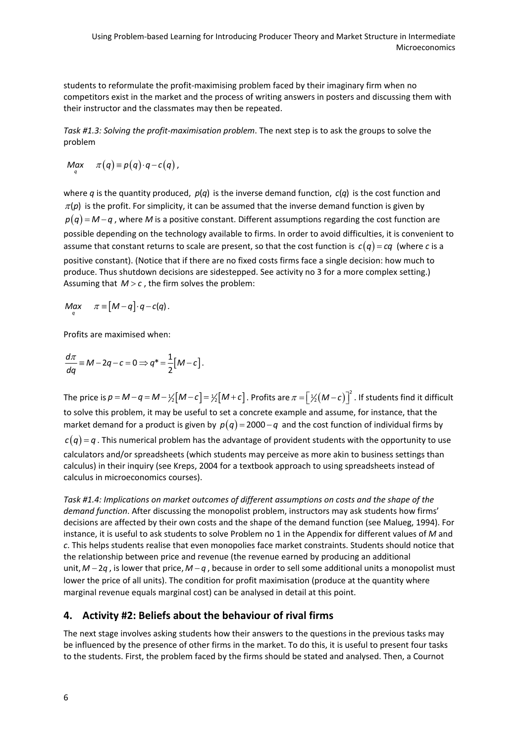students to reformulate the profit‐maximising problem faced by their imaginary firm when no competitors exist in the market and the process of writing answers in posters and discussing them with their instructor and the classmates may then be repeated.

*Task #1.3: Solving the profit‐maximisation problem*. The next step is to ask the groups to solve the problem

$$
Max \quad \pi(q) \equiv p(q) \cdot q - c(q),
$$

where *q* is the quantity produced,  $p(q)$  is the inverse demand function,  $c(q)$  is the cost function and  $\pi$ (p) is the profit. For simplicity, it can be assumed that the inverse demand function is given by  $p(q) = M - q$ , where *M* is a positive constant. Different assumptions regarding the cost function are possible depending on the technology available to firms. In order to avoid difficulties, it is convenient to assume that constant returns to scale are present, so that the cost function is  $c(q) = cq$  (where *c* is a positive constant). (Notice that if there are no fixed costs firms face a single decision: how much to produce. Thus shutdown decisions are sidestepped. See activity no 3 for a more complex setting.) Assuming that  $M > c$ , the firm solves the problem:

$$
Max \quad \pi \equiv [M-q] \cdot q - c(q).
$$

Profits are maximised when:

$$
\frac{d\pi}{dq} \equiv M - 2q - c = 0 \Longrightarrow q^* = \frac{1}{2}[M - c].
$$

The price is  $p = M-q = M-\frac{1}{2}[M-c]=\frac{1}{2}[M+c]$  . Profits are  $\pi=\left[\frac{1}{2}(M-c)\right]^2$  . If students find it difficult to solve this problem, it may be useful to set a concrete example and assume, for instance, that the market demand for a product is given by  $p(q) = 2000 - q$  and the cost function of individual firms by  $c(q) = q$ . This numerical problem has the advantage of provident students with the opportunity to use calculators and/or spreadsheets (which students may perceive as more akin to business settings than calculus) in their inquiry (see Kreps, 2004 for a textbook approach to using spreadsheets instead of calculus in microeconomics courses).

*Task #1.4: Implications on market outcomes of different assumptions on costs and the shape of the demand function*. After discussing the monopolist problem, instructors may ask students how firms' decisions are affected by their own costs and the shape of the demand function (see Malueg, 1994). For instance, it is useful to ask students to solve Problem no 1 in the Appendix for different values of *M* and *c*. This helps students realise that even monopolies face market constraints. Students should notice that the relationship between price and revenue (the revenue earned by producing an additional unit, *M* − 2*q*, is lower that price, *M* − *q*, because in order to sell some additional units a monopolist must lower the price of all units). The condition for profit maximisation (produce at the quantity where marginal revenue equals marginal cost) can be analysed in detail at this point.

# **4. Activity #2: Beliefs about the behaviour of rival firms**

The next stage involves asking students how their answers to the questions in the previous tasks may be influenced by the presence of other firms in the market. To do this, it is useful to present four tasks to the students. First, the problem faced by the firms should be stated and analysed. Then, a Cournot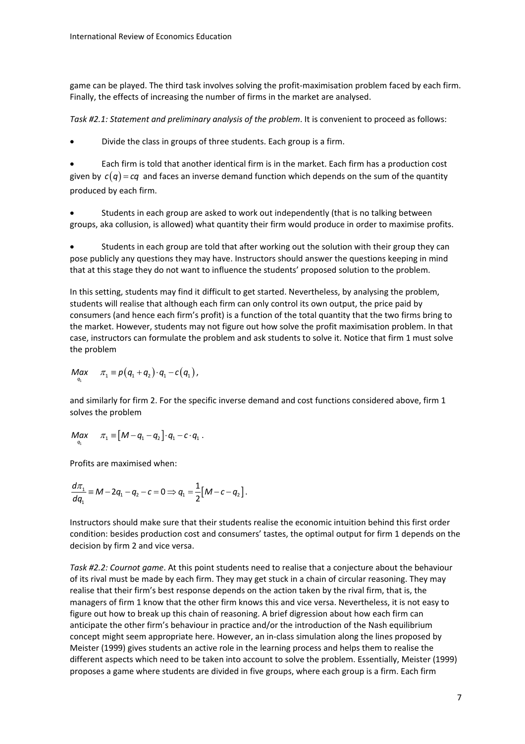game can be played. The third task involves solving the profit‐maximisation problem faced by each firm. Finally, the effects of increasing the number of firms in the market are analysed.

*Task #2.1: Statement and preliminary analysis of the problem*. It is convenient to proceed as follows:

• Divide the class in groups of three students. Each group is a firm.

• Each firm is told that another identical firm is in the market. Each firm has a production cost given by  $c(q) = cq$  and faces an inverse demand function which depends on the sum of the quantity produced by each firm.

• Students in each group are asked to work out independently (that is no talking between groups, aka collusion, is allowed) what quantity their firm would produce in order to maximise profits.

• Students in each group are told that after working out the solution with their group they can pose publicly any questions they may have. Instructors should answer the questions keeping in mind that at this stage they do not want to influence the students' proposed solution to the problem.

In this setting, students may find it difficult to get started. Nevertheless, by analysing the problem, students will realise that although each firm can only control its own output, the price paid by consumers (and hence each firm's profit) is a function of the total quantity that the two firms bring to the market. However, students may not figure out how solve the profit maximisation problem. In that case, instructors can formulate the problem and ask students to solve it. Notice that firm 1 must solve the problem

$$
M_{\underset{q_1}{q_1}} \times \quad \pi_1 \equiv p\big(q_1 + q_2\big) \cdot q_1 - c\big(q_1\big),
$$

and similarly for firm 2. For the specific inverse demand and cost functions considered above, firm 1 solves the problem

$$
Max \quad \pi_1 \equiv [M - q_1 - q_2] \cdot q_1 - c \cdot q_1.
$$

Profits are maximised when:

$$
\frac{d\pi_1}{dq_1} \equiv M - 2q_1 - q_2 - c = 0 \Longrightarrow q_1 = \frac{1}{2}[M - c - q_2].
$$

Instructors should make sure that their students realise the economic intuition behind this first order condition: besides production cost and consumers' tastes, the optimal output for firm 1 depends on the decision by firm 2 and vice versa.

*Task #2.2: Cournot game*. At this point students need to realise that a conjecture about the behaviour of its rival must be made by each firm. They may get stuck in a chain of circular reasoning. They may realise that their firm's best response depends on the action taken by the rival firm, that is, the managers of firm 1 know that the other firm knows this and vice versa. Nevertheless, it is not easy to figure out how to break up this chain of reasoning. A brief digression about how each firm can anticipate the other firm's behaviour in practice and/or the introduction of the Nash equilibrium concept might seem appropriate here. However, an in‐class simulation along the lines proposed by Meister (1999) gives students an active role in the learning process and helps them to realise the different aspects which need to be taken into account to solve the problem. Essentially, Meister (1999) proposes a game where students are divided in five groups, where each group is a firm. Each firm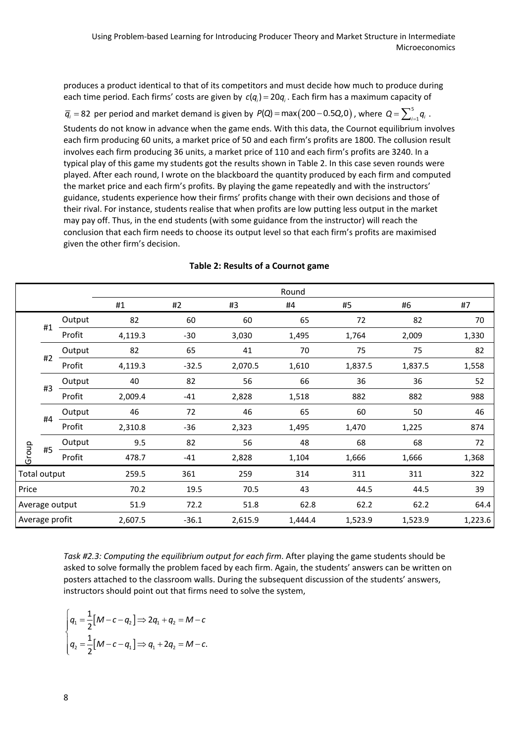produces a product identical to that of its competitors and must decide how much to produce during each time period. Each firms' costs are given by  $c(q_i) = 20q_i$ . Each firm has a maximum capacity of

 $\overline{q}_i$  = 82 per period and market demand is given by  $P(Q)$  = max $\left( 200 - 0.5 Q, 0 \right)$  , where  $\left. Q = \sum_{i=1}^5 q_i \right.$  .

Students do not know in advance when the game ends. With this data, the Cournot equilibrium involves each firm producing 60 units, a market price of 50 and each firm's profits are 1800. The collusion result involves each firm producing 36 units, a market price of 110 and each firm's profits are 3240. In a typical play of this game my students got the results shown in Table 2. In this case seven rounds were played. After each round, I wrote on the blackboard the quantity produced by each firm and computed the market price and each firm's profits. By playing the game repeatedly and with the instructors' guidance, students experience how their firms' profits change with their own decisions and those of their rival. For instance, students realise that when profits are low putting less output in the market may pay off. Thus, in the end students (with some guidance from the instructor) will reach the conclusion that each firm needs to choose its output level so that each firm's profits are maximised given the other firm's decision.

|                |    |        |         |         |         | Round   |         |         |         |
|----------------|----|--------|---------|---------|---------|---------|---------|---------|---------|
|                |    |        | #1      | #2      | #3      | #4      | #5      | #6      | #7      |
|                |    | Output | 82      | 60      | 60      | 65      | 72      | 82      | 70      |
|                | #1 | Profit | 4,119.3 | $-30$   | 3,030   | 1,495   | 1,764   | 2,009   | 1,330   |
|                | #2 | Output | 82      | 65      | 41      | 70      | 75      | 75      | 82      |
|                |    | Profit | 4,119.3 | $-32.5$ | 2,070.5 | 1,610   | 1,837.5 | 1,837.5 | 1,558   |
|                |    | Output | 40      | 82      | 56      | 66      | 36      | 36      | 52      |
|                | #3 | Profit | 2,009.4 | $-41$   | 2,828   | 1,518   | 882     | 882     | 988     |
|                | #4 | Output | 46      | 72      | 46      | 65      | 60      | 50      | 46      |
|                |    | Profit | 2,310.8 | $-36$   | 2,323   | 1,495   | 1,470   | 1,225   | 874     |
|                | #5 | Output | 9.5     | 82      | 56      | 48      | 68      | 68      | 72      |
| Group          |    | Profit | 478.7   | $-41$   | 2,828   | 1,104   | 1,666   | 1,666   | 1,368   |
| Total output   |    |        | 259.5   | 361     | 259     | 314     | 311     | 311     | 322     |
| Price          |    |        | 70.2    | 19.5    | 70.5    | 43      | 44.5    | 44.5    | 39      |
| Average output |    |        | 51.9    | 72.2    | 51.8    | 62.8    | 62.2    | 62.2    | 64.4    |
| Average profit |    |        | 2,607.5 | $-36.1$ | 2,615.9 | 1,444.4 | 1,523.9 | 1,523.9 | 1,223.6 |

#### **Table 2: Results of a Cournot game**

*Task #2.3: Computing the equilibrium output for each firm*. After playing the game students should be asked to solve formally the problem faced by each firm. Again, the students' answers can be written on posters attached to the classroom walls. During the subsequent discussion of the students' answers, instructors should point out that firms need to solve the system,

$$
\begin{cases} q_1 = \frac{1}{2} [M - c - q_2] \Rightarrow 2q_1 + q_2 = M - c \\ q_2 = \frac{1}{2} [M - c - q_1] \Rightarrow q_1 + 2q_2 = M - c. \end{cases}
$$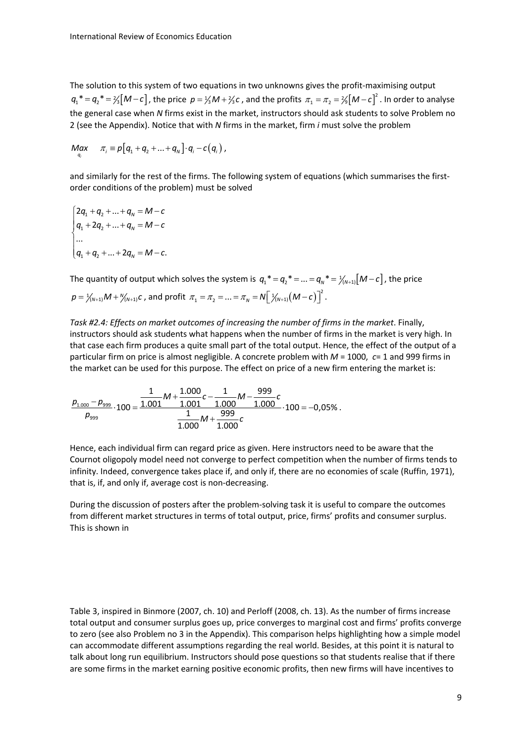The solution to this system of two equations in two unknowns gives the profit‐maximising output  $q_1^* = q_2^* = \frac{1}{2} [M-c]$ , the price  $p = \frac{1}{2} M + \frac{2}{3} c$ , and the profits  $\pi_1 = \pi_2 = \frac{2}{9} [M-c]^2$ . In order to analyse the general case when *N* firms exist in the market, instructors should ask students to solve Problem no 2 (see the Appendix). Notice that with *N* firms in the market, firm *i* must solve the problem

$$
Max \quad \pi_i \equiv p \big[ q_1 + q_2 + ... + q_N \big] \cdot q_i - c \big( q_i \big) \,,
$$

and similarly for the rest of the firms. The following system of equations (which summarises the firstorder conditions of the problem) must be solved

$$
\begin{cases} 2q_1 + q_2 + \dots + q_N = M - c \\ q_1 + 2q_2 + \dots + q_N = M - c \\ \dots \\ q_1 + q_2 + \dots + 2q_N = M - c. \end{cases}
$$

The quantity of output which solves the system is  $q_1^* = q_2^* = ... = q_N^* = \frac{1}{N(N+1)} [M-c]$ , the price  $p = \frac{1}{N+1}M + \frac{N}{N+1}C$ , and profit  $\pi_1 = \pi_2 = ... = \pi_N = N \Big[ \frac{1}{N+1} (M - C) \Big]^2$ .

*Task #2.4: Effects on market outcomes of increasing the number of firms in the market*. Finally, instructors should ask students what happens when the number of firms in the market is very high. In that case each firm produces a quite small part of the total output. Hence, the effect of the output of a particular firm on price is almost negligible. A concrete problem with *M* = 1000, *c*= 1 and 999 firms in the market can be used for this purpose. The effect on price of a new firm entering the market is:

$$
\frac{ \rho_{1.000}-\rho_{999}}{\rho_{999}}\cdot 100=\frac{ \frac{1}{1.001} \mathcal{M}+\frac{1.000}{1.001} \mathcal{C}-\frac{1}{1.000} \mathcal{M}-\frac{999}{1.000} \mathcal{C}}{1.000} \cdot 100=-0,05\% \ .
$$

Hence, each individual firm can regard price as given. Here instructors need to be aware that the Cournot oligopoly model need not converge to perfect competition when the number of firms tends to infinity. Indeed, convergence takes place if, and only if, there are no economies of scale (Ruffin, 1971), that is, if, and only if, average cost is non‐decreasing.

During the discussion of posters after the problem‐solving task it is useful to compare the outcomes from different market structures in terms of total output, price, firms' profits and consumer surplus. This is shown in

Table 3, inspired in Binmore (2007, ch. 10) and Perloff (2008, ch. 13). As the number of firms increase total output and consumer surplus goes up, price converges to marginal cost and firms' profits converge to zero (see also Problem no 3 in the Appendix). This comparison helps highlighting how a simple model can accommodate different assumptions regarding the real world. Besides, at this point it is natural to talk about long run equilibrium. Instructors should pose questions so that students realise that if there are some firms in the market earning positive economic profits, then new firms will have incentives to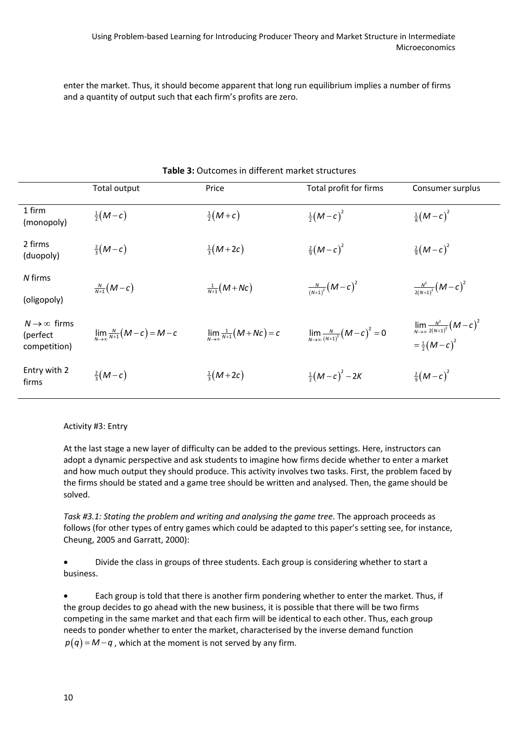enter the market. Thus, it should become apparent that long run equilibrium implies a number of firms and a quantity of output such that each firm's profits are zero.

|                                                          | Total output                              | Price                                    | Total profit for firms                              | Consumer surplus                                                            |
|----------------------------------------------------------|-------------------------------------------|------------------------------------------|-----------------------------------------------------|-----------------------------------------------------------------------------|
| 1 firm<br>(monopoly)                                     | $\frac{1}{2}(M-c)$                        | $\frac{1}{2}(M+c)$                       | $\frac{1}{2}(M-c)^2$                                | $\frac{1}{8}(M-c)^2$                                                        |
| 2 firms<br>(duopoly)                                     | $\frac{2}{3}(M-c)$                        | $\frac{1}{3}(M+2c)$                      | $\frac{2}{9}(M-c)^2$                                | $\frac{2}{9}(M-c)^2$                                                        |
| N firms                                                  | $\frac{N}{N+1}(M-c)$                      | $\frac{1}{N+1}(M + Nc)$                  | $\frac{N}{(N+1)^2} (M-c)^2$                         | $\frac{N^2}{2(N+1)^2} (M-c)^2$                                              |
| (oligopoly)                                              |                                           |                                          |                                                     |                                                                             |
| $N \rightarrow \infty$ firms<br>(perfect<br>competition) | $\lim_{N\to\infty}\frac{N}{N+1}(M-c)=M-c$ | $\lim_{N\to\infty}\frac{1}{N+1}(M+Nc)=c$ | $\lim_{N \to \infty} \frac{N}{(N+1)^2} (M-c)^2 = 0$ | $\lim_{N \to \infty} \frac{N^2}{2(N+1)^2} (M-c)^2$<br>$=\frac{1}{2}(M-c)^2$ |
| Entry with 2<br>firms                                    | $\frac{2}{3}(M-c)$                        | $\frac{1}{3}(M+2c)$                      | $\frac{1}{2}(M-c)^2 - 2K$                           | $\frac{2}{9}(M-c)^2$                                                        |

| Table 3: Outcomes in different market structures |
|--------------------------------------------------|
|--------------------------------------------------|

#### Activity #3: Entry

At the last stage a new layer of difficulty can be added to the previous settings. Here, instructors can adopt a dynamic perspective and ask students to imagine how firms decide whether to enter a market and how much output they should produce. This activity involves two tasks. First, the problem faced by the firms should be stated and a game tree should be written and analysed. Then, the game should be solved.

*Task #3.1: Stating the problem and writing and analysing the game tree*. The approach proceeds as follows (for other types of entry games which could be adapted to this paper's setting see, for instance, Cheung, 2005 and Garratt, 2000):

• Divide the class in groups of three students. Each group is considering whether to start a business.

• Each group is told that there is another firm pondering whether to enter the market. Thus, if the group decides to go ahead with the new business, it is possible that there will be two firms competing in the same market and that each firm will be identical to each other. Thus, each group needs to ponder whether to enter the market, characterised by the inverse demand function  $p(q) = M - q$ , which at the moment is not served by any firm.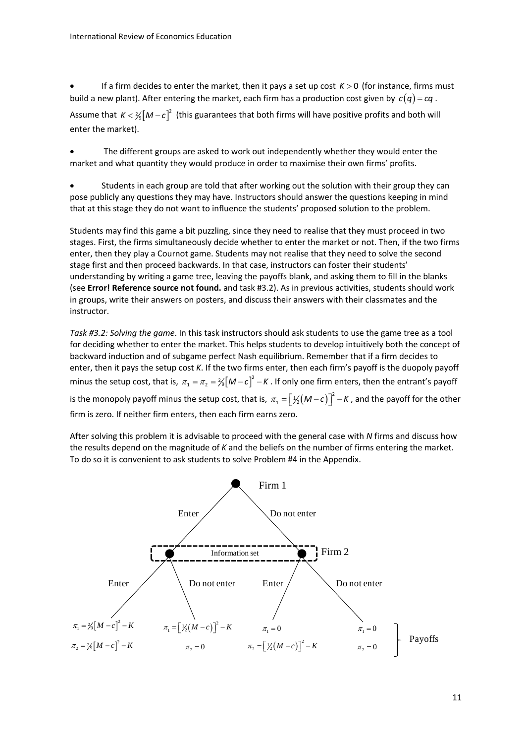If a firm decides to enter the market, then it pays a set up cost  $K > 0$  (for instance, firms must build a new plant). After entering the market, each firm has a production cost given by  $c(q) = cq$ . Assume that  $K < \frac{2}{9} [M - c]^2$  (this guarantees that both firms will have positive profits and both will enter the market).

The different groups are asked to work out independently whether they would enter the market and what quantity they would produce in order to maximise their own firms' profits.

• Students in each group are told that after working out the solution with their group they can pose publicly any questions they may have. Instructors should answer the questions keeping in mind that at this stage they do not want to influence the students' proposed solution to the problem.

Students may find this game a bit puzzling, since they need to realise that they must proceed in two stages. First, the firms simultaneously decide whether to enter the market or not. Then, if the two firms enter, then they play a Cournot game. Students may not realise that they need to solve the second stage first and then proceed backwards. In that case, instructors can foster their students' understanding by writing a game tree, leaving the payoffs blank, and asking them to fill in the blanks (see **Error! Reference source not found.** and task #3.2). As in previous activities, students should work in groups, write their answers on posters, and discuss their answers with their classmates and the instructor.

*Task #3.2: Solving the game*. In this task instructors should ask students to use the game tree as a tool for deciding whether to enter the market. This helps students to develop intuitively both the concept of backward induction and of subgame perfect Nash equilibrium. Remember that if a firm decides to enter, then it pays the setup cost *K*. If the two firms enter, then each firm's payoff is the duopoly payoff minus the setup cost, that is,  $\pi_1=\pi_2= \frac{2}{3} [\mathcal{M}-c]^2-\mathcal{K}$  . If only one firm enters, then the entrant's payoff is the monopoly payoff minus the setup cost, that is,  $\pi^{-1}_1 = \bigl[ \frac{\lambda}{2} (M\!-\!c) \bigr]^{\!2} -K$  , and the payoff for the other firm is zero. If neither firm enters, then each firm earns zero.

After solving this problem it is advisable to proceed with the general case with *N* firms and discuss how the results depend on the magnitude of *K* and the beliefs on the number of firms entering the market. To do so it is convenient to ask students to solve Problem #4 in the Appendix.

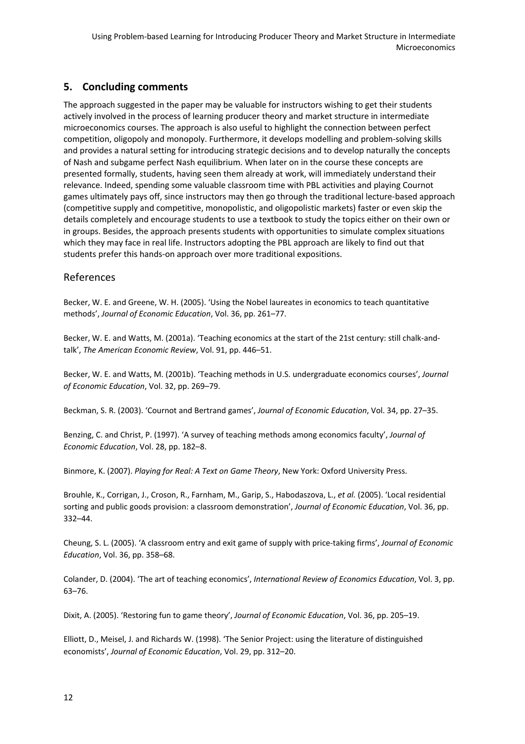# **5. Concluding comments**

The approach suggested in the paper may be valuable for instructors wishing to get their students actively involved in the process of learning producer theory and market structure in intermediate microeconomics courses. The approach is also useful to highlight the connection between perfect competition, oligopoly and monopoly. Furthermore, it develops modelling and problem‐solving skills and provides a natural setting for introducing strategic decisions and to develop naturally the concepts of Nash and subgame perfect Nash equilibrium. When later on in the course these concepts are presented formally, students, having seen them already at work, will immediately understand their relevance. Indeed, spending some valuable classroom time with PBL activities and playing Cournot games ultimately pays off, since instructors may then go through the traditional lecture‐based approach (competitive supply and competitive, monopolistic, and oligopolistic markets) faster or even skip the details completely and encourage students to use a textbook to study the topics either on their own or in groups. Besides, the approach presents students with opportunities to simulate complex situations which they may face in real life. Instructors adopting the PBL approach are likely to find out that students prefer this hands‐on approach over more traditional expositions.

## References

Becker, W. E. and Greene, W. H. (2005). 'Using the Nobel laureates in economics to teach quantitative methods', *Journal of Economic Education*, Vol. 36, pp. 261–77.

Becker, W. E. and Watts, M. (2001a). 'Teaching economics at the start of the 21st century: still chalk-andtalk', *The American Economic Review*, Vol. 91, pp. 446–51.

Becker, W. E. and Watts, M. (2001b). 'Teaching methods in U.S. undergraduate economics courses', *Journal of Economic Education*, Vol. 32, pp. 269–79.

Beckman, S. R. (2003). 'Cournot and Bertrand games', *Journal of Economic Education*, Vol. 34, pp. 27–35.

Benzing, C. and Christ, P. (1997). 'A survey of teaching methods among economics faculty', *Journal of Economic Education*, Vol. 28, pp. 182–8.

Binmore, K. (2007). *Playing for Real: A Text on Game Theory*, New York: Oxford University Press.

Brouhle, K., Corrigan, J., Croson, R., Farnham, M., Garip, S., Habodaszova, L., *et al.* (2005). 'Local residential sorting and public goods provision: a classroom demonstration', *Journal of Economic Education*, Vol. 36, pp. 332–44.

Cheung, S. L. (2005). 'A classroom entry and exit game of supply with price‐taking firms', *Journal of Economic Education*, Vol. 36, pp. 358–68.

Colander, D. (2004). 'The art of teaching economics', *International Review of Economics Education*, Vol. 3, pp. 63–76.

Dixit, A. (2005). 'Restoring fun to game theory', *Journal of Economic Education*, Vol. 36, pp. 205–19.

Elliott, D., Meisel, J. and Richards W. (1998). 'The Senior Project: using the literature of distinguished economists', *Journal of Economic Education*, Vol. 29, pp. 312–20.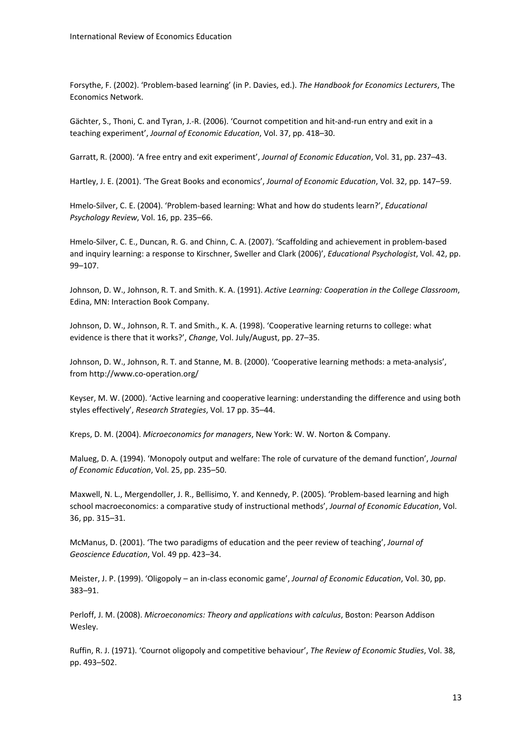Forsythe, F. (2002). 'Problem‐based learning' (in P. Davies, ed.). *The Handbook for Economics Lecturers*, The Economics Network.

Gächter, S., Thoni, C. and Tyran, J.-R. (2006). 'Cournot competition and hit-and-run entry and exit in a teaching experiment', *Journal of Economic Education*, Vol. 37, pp. 418–30.

Garratt, R. (2000). 'A free entry and exit experiment', *Journal of Economic Education*, Vol. 31, pp. 237–43.

Hartley, J. E. (2001). 'The Great Books and economics', *Journal of Economic Education*, Vol. 32, pp. 147–59.

Hmelo‐Silver, C. E. (2004). 'Problem‐based learning: What and how do students learn?', *Educational Psychology Review*, Vol. 16, pp. 235–66.

Hmelo-Silver, C. E., Duncan, R. G. and Chinn, C. A. (2007). 'Scaffolding and achievement in problem-based and inquiry learning: a response to Kirschner, Sweller and Clark (2006)', *Educational Psychologist*, Vol. 42, pp. 99–107.

Johnson, D. W., Johnson, R. T. and Smith. K. A. (1991). *Active Learning: Cooperation in the College Classroom*, Edina, MN: Interaction Book Company.

Johnson, D. W., Johnson, R. T. and Smith., K. A. (1998). 'Cooperative learning returns to college: what evidence is there that it works?', *Change*, Vol. July/August, pp. 27–35.

Johnson, D. W., Johnson, R. T. and Stanne, M. B. (2000). 'Cooperative learning methods: a meta-analysis', from http://www.co‐operation.org/

Keyser, M. W. (2000). 'Active learning and cooperative learning: understanding the difference and using both styles effectively', *Research Strategies*, Vol. 17 pp. 35–44.

Kreps, D. M. (2004). *Microeconomics for managers*, New York: W. W. Norton & Company.

Malueg, D. A. (1994). 'Monopoly output and welfare: The role of curvature of the demand function', *Journal of Economic Education*, Vol. 25, pp. 235–50.

Maxwell, N. L., Mergendoller, J. R., Bellisimo, Y. and Kennedy, P. (2005). 'Problem‐based learning and high school macroeconomics: a comparative study of instructional methods', *Journal of Economic Education*, Vol. 36, pp. 315–31.

McManus, D. (2001). 'The two paradigms of education and the peer review of teaching', *Journal of Geoscience Education*, Vol. 49 pp. 423–34.

Meister, J. P. (1999). 'Oligopoly – an in‐class economic game', *Journal of Economic Education*, Vol. 30, pp. 383–91.

Perloff, J. M. (2008). *Microeconomics: Theory and applications with calculus*, Boston: Pearson Addison Wesley.

Ruffin, R. J. (1971). 'Cournot oligopoly and competitive behaviour', *The Review of Economic Studies*, Vol. 38, pp. 493–502.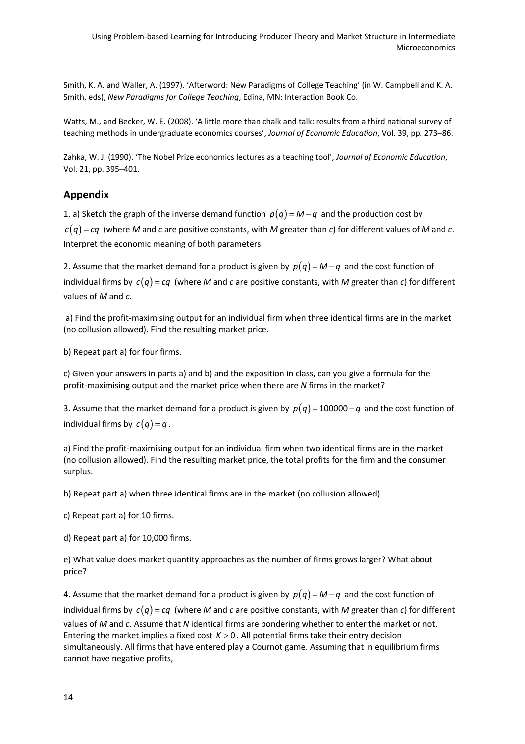Smith, K. A. and Waller, A. (1997). 'Afterword: New Paradigms of College Teaching' (in W. Campbell and K. A. Smith, eds), *New Paradigms for College Teaching*, Edina, MN: Interaction Book Co.

Watts, M., and Becker, W. E. (2008). 'A little more than chalk and talk: results from a third national survey of teaching methods in undergraduate economics courses', *Journal of Economic Education*, Vol. 39, pp. 273–86.

Zahka, W. J. (1990). 'The Nobel Prize economics lectures as a teaching tool', *Journal of Economic Education*, Vol. 21, pp. 395–401.

# **Appendix**

1. a) Sketch the graph of the inverse demand function  $p(q) = M - q$  and the production cost by  $c(q) = cq$  (where *M* and *c* are positive constants, with *M* greater than *c*) for different values of *M* and *c*. Interpret the economic meaning of both parameters.

2. Assume that the market demand for a product is given by  $p(q) = M - q$  and the cost function of individual firms by  $c(q) = cq$  (where *M* and *c* are positive constants, with *M* greater than *c*) for different values of *M* and *c*.

a) Find the profit-maximising output for an individual firm when three identical firms are in the market (no collusion allowed). Find the resulting market price.

b) Repeat part a) for four firms.

c) Given your answers in parts a) and b) and the exposition in class, can you give a formula for the profit‐maximising output and the market price when there are *N* firms in the market?

3. Assume that the market demand for a product is given by  $p(q) = 100000 - q$  and the cost function of individual firms by  $c(q) = q$ .

a) Find the profit-maximising output for an individual firm when two identical firms are in the market (no collusion allowed). Find the resulting market price, the total profits for the firm and the consumer surplus.

b) Repeat part a) when three identical firms are in the market (no collusion allowed).

c) Repeat part a) for 10 firms.

d) Repeat part a) for 10,000 firms.

e) What value does market quantity approaches as the number of firms grows larger? What about price?

4. Assume that the market demand for a product is given by  $p(q) = M - q$  and the cost function of individual firms by  $c(q) = cq$  (where *M* and *c* are positive constants, with *M* greater than *c*) for different values of *M* and *c*. Assume that *N* identical firms are pondering whether to enter the market or not. Entering the market implies a fixed cost *K* > 0 . All potential firms take their entry decision simultaneously. All firms that have entered play a Cournot game. Assuming that in equilibrium firms cannot have negative profits,